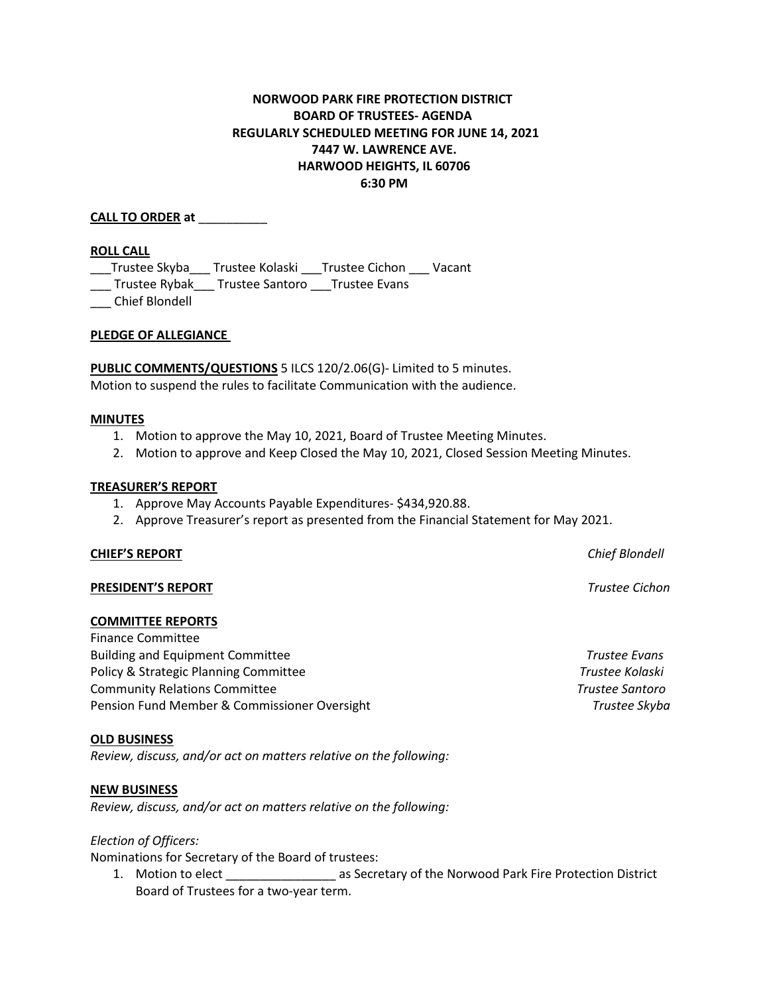# **NORWOOD PARK FIRE PROTECTION DISTRICT BOARD OF TRUSTEES- AGENDA REGULARLY SCHEDULED MEETING FOR JUNE 14, 2021 7447 W. LAWRENCE AVE. HARWOOD HEIGHTS, IL 60706 6:30 PM**

**CALL TO ORDER at** \_\_\_\_\_\_\_\_\_\_

### **ROLL CALL**

\_\_\_Trustee Skyba\_\_\_ Trustee Kolaski \_\_\_Trustee Cichon \_\_\_ Vacant

\_\_\_ Trustee Rybak\_\_\_ Trustee Santoro \_\_\_Trustee Evans

\_\_\_ Chief Blondell

### **PLEDGE OF ALLEGIANCE**

**PUBLIC COMMENTS/QUESTIONS** 5 ILCS 120/2.06(G)- Limited to 5 minutes. Motion to suspend the rules to facilitate Communication with the audience.

#### **MINUTES**

- 1. Motion to approve the May 10, 2021, Board of Trustee Meeting Minutes.
- 2. Motion to approve and Keep Closed the May 10, 2021, Closed Session Meeting Minutes.

### **TREASURER'S REPORT**

- 1. Approve May Accounts Payable Expenditures- \$434,920.88.
- 2. Approve Treasurer's report as presented from the Financial Statement for May 2021.

#### **CHIEF'S REPORT** *Chief Blondell*

# **PRESIDENT'S REPORT** *Trustee Cichon*

#### **COMMITTEE REPORTS**

Finance Committee Building and Equipment Committee *Trustee Evans* Policy & Strategic Planning Committee *Trustee Kolaski* Community Relations Committee *Trustee Santoro* Pension Fund Member & Commissioner Oversight *Trustee Skyba*

#### **OLD BUSINESS**

*Review, discuss, and/or act on matters relative on the following:*

## **NEW BUSINESS**

*Review, discuss, and/or act on matters relative on the following:*

#### *Election of Officers:*

Nominations for Secretary of the Board of trustees:

1. Motion to elect **1. Accord 20 First Accord 20 First Accord Park Fire Protection District** Board of Trustees for a two-year term.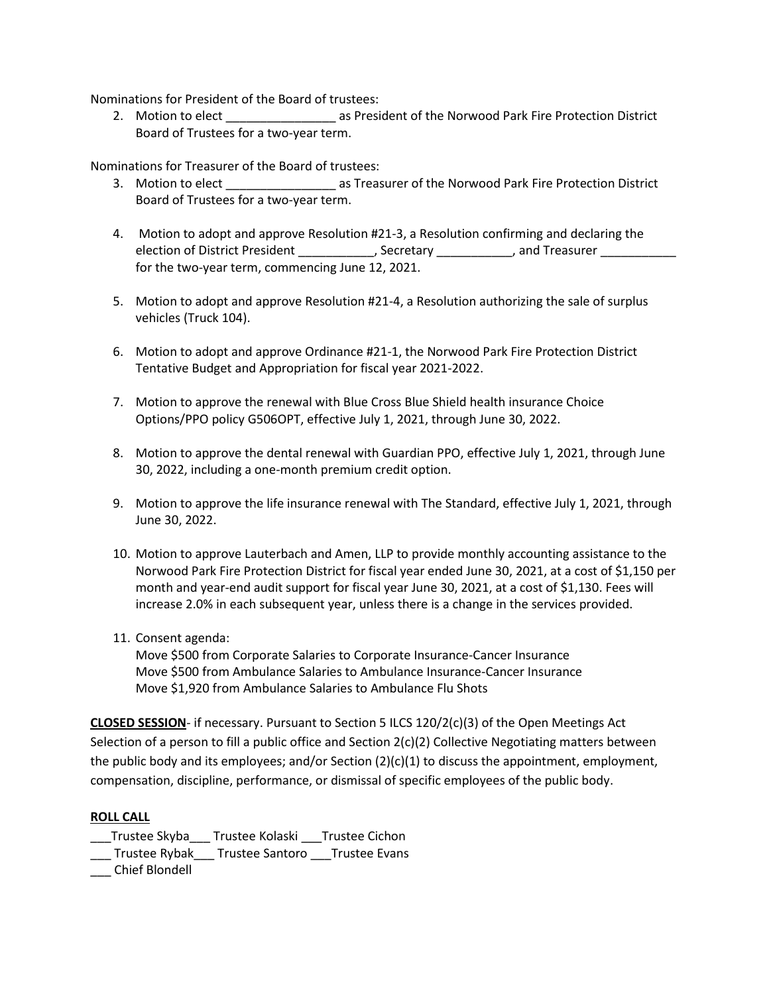Nominations for President of the Board of trustees:

2. Motion to elect \_\_\_\_\_\_\_\_\_\_\_\_\_\_\_\_\_\_\_\_ as President of the Norwood Park Fire Protection District Board of Trustees for a two-year term.

Nominations for Treasurer of the Board of trustees:

- 3. Motion to elect \_\_\_\_\_\_\_\_\_\_\_\_\_\_\_\_ as Treasurer of the Norwood Park Fire Protection District Board of Trustees for a two-year term.
- 4. Motion to adopt and approve Resolution #21-3, a Resolution confirming and declaring the election of District President \_\_\_\_\_\_\_\_\_\_\_\_, Secretary \_\_\_\_\_\_\_\_\_\_\_, and Treasurer for the two-year term, commencing June 12, 2021.
- 5. Motion to adopt and approve Resolution #21-4, a Resolution authorizing the sale of surplus vehicles (Truck 104).
- 6. Motion to adopt and approve Ordinance #21-1, the Norwood Park Fire Protection District Tentative Budget and Appropriation for fiscal year 2021-2022.
- 7. Motion to approve the renewal with Blue Cross Blue Shield health insurance Choice Options/PPO policy G506OPT, effective July 1, 2021, through June 30, 2022.
- 8. Motion to approve the dental renewal with Guardian PPO, effective July 1, 2021, through June 30, 2022, including a one-month premium credit option.
- 9. Motion to approve the life insurance renewal with The Standard, effective July 1, 2021, through June 30, 2022.
- 10. Motion to approve Lauterbach and Amen, LLP to provide monthly accounting assistance to the Norwood Park Fire Protection District for fiscal year ended June 30, 2021, at a cost of \$1,150 per month and year-end audit support for fiscal year June 30, 2021, at a cost of \$1,130. Fees will increase 2.0% in each subsequent year, unless there is a change in the services provided.
- 11. Consent agenda:

Move \$500 from Corporate Salaries to Corporate Insurance-Cancer Insurance Move \$500 from Ambulance Salaries to Ambulance Insurance-Cancer Insurance Move \$1,920 from Ambulance Salaries to Ambulance Flu Shots

**CLOSED SESSION**- if necessary. Pursuant to Section 5 ILCS 120/2(c)(3) of the Open Meetings Act Selection of a person to fill a public office and Section 2(c)(2) Collective Negotiating matters between the public body and its employees; and/or Section  $(2)(c)(1)$  to discuss the appointment, employment, compensation, discipline, performance, or dismissal of specific employees of the public body.

## **ROLL CALL**

- \_\_\_Trustee Skyba\_\_\_ Trustee Kolaski \_\_\_Trustee Cichon
- \_\_\_ Trustee Rybak\_\_\_ Trustee Santoro \_\_\_Trustee Evans
- \_\_\_ Chief Blondell